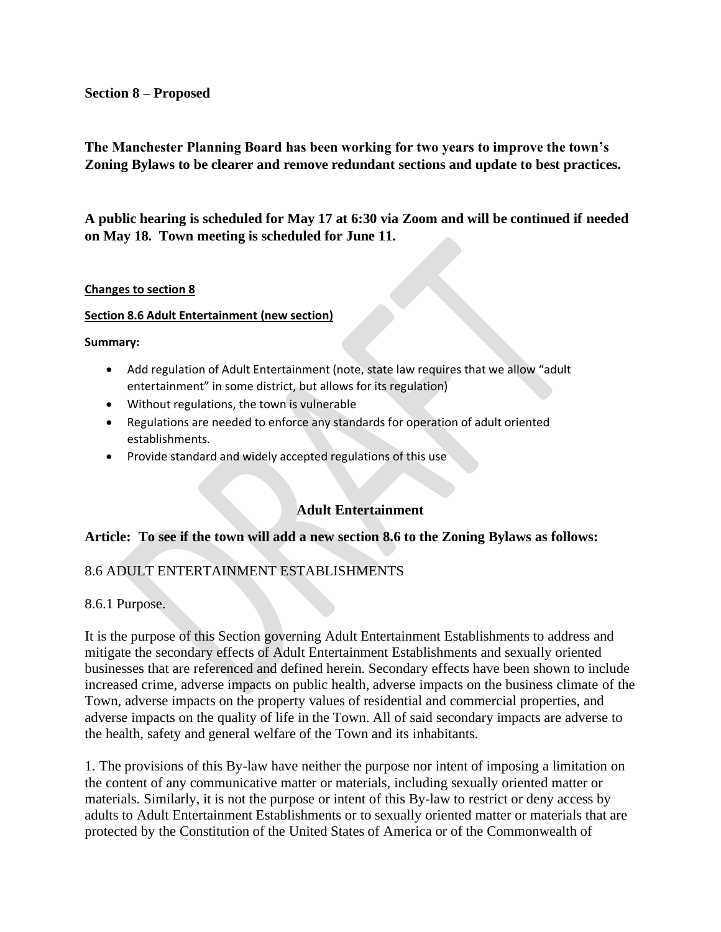### **Section 8 – Proposed**

**The Manchester Planning Board has been working for two years to improve the town's Zoning Bylaws to be clearer and remove redundant sections and update to best practices.** 

**A public hearing is scheduled for May 17 at 6:30 via Zoom and will be continued if needed on May 18. Town meeting is scheduled for June 11.**

### **Changes to section 8**

### **Section 8.6 Adult Entertainment (new section)**

**Summary:**

- Add regulation of Adult Entertainment (note, state law requires that we allow "adult entertainment" in some district, but allows for its regulation)
- Without regulations, the town is vulnerable
- Regulations are needed to enforce any standards for operation of adult oriented establishments.
- Provide standard and widely accepted regulations of this use

# **Adult Entertainment**

### **Article: To see if the town will add a new section 8.6 to the Zoning Bylaws as follows:**

# 8.6 ADULT ENTERTAINMENT ESTABLISHMENTS

8.6.1 Purpose.

It is the purpose of this Section governing Adult Entertainment Establishments to address and mitigate the secondary effects of Adult Entertainment Establishments and sexually oriented businesses that are referenced and defined herein. Secondary effects have been shown to include increased crime, adverse impacts on public health, adverse impacts on the business climate of the Town, adverse impacts on the property values of residential and commercial properties, and adverse impacts on the quality of life in the Town. All of said secondary impacts are adverse to the health, safety and general welfare of the Town and its inhabitants.

1. The provisions of this By-law have neither the purpose nor intent of imposing a limitation on the content of any communicative matter or materials, including sexually oriented matter or materials. Similarly, it is not the purpose or intent of this By-law to restrict or deny access by adults to Adult Entertainment Establishments or to sexually oriented matter or materials that are protected by the Constitution of the United States of America or of the Commonwealth of